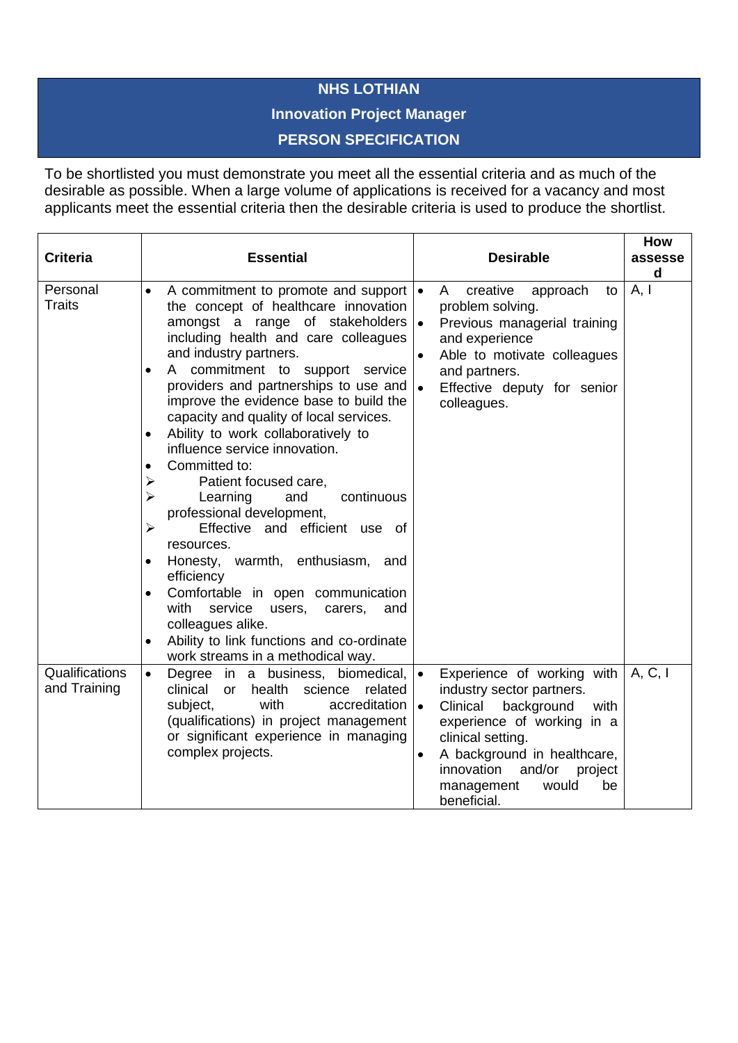## **NHS LOTHIAN**

## **Innovation Project Manager**

## **PERSON SPECIFICATION**

To be shortlisted you must demonstrate you meet all the essential criteria and as much of the desirable as possible. When a large volume of applications is received for a vacancy and most applicants meet the essential criteria then the desirable criteria is used to produce the shortlist.

| <b>Criteria</b>                | <b>Essential</b>                                                                                                                                                                                                                                                                                                                                                                                                                                                                                                                                                                                                                                                                                                                                                                                                                                                                                                                             | <b>Desirable</b>                                                                                                                                                                                                                                                                                  | How<br>assesse<br>d |
|--------------------------------|----------------------------------------------------------------------------------------------------------------------------------------------------------------------------------------------------------------------------------------------------------------------------------------------------------------------------------------------------------------------------------------------------------------------------------------------------------------------------------------------------------------------------------------------------------------------------------------------------------------------------------------------------------------------------------------------------------------------------------------------------------------------------------------------------------------------------------------------------------------------------------------------------------------------------------------------|---------------------------------------------------------------------------------------------------------------------------------------------------------------------------------------------------------------------------------------------------------------------------------------------------|---------------------|
| Personal<br><b>Traits</b>      | A commitment to promote and support  <br>$\bullet$<br>the concept of healthcare innovation<br>amongst a range of stakeholders<br>including health and care colleagues<br>and industry partners.<br>A commitment to support service<br>$\bullet$<br>providers and partnerships to use and<br>improve the evidence base to build the<br>capacity and quality of local services.<br>Ability to work collaboratively to<br>$\bullet$<br>influence service innovation.<br>Committed to:<br>$\bullet$<br>Patient focused care,<br>⋗<br>continuous<br>⋗<br>Learning<br>and<br>professional development,<br>Effective and efficient use of<br>➤<br>resources.<br>warmth, enthusiasm, and<br>Honesty,<br>$\bullet$<br>efficiency<br>Comfortable in open communication<br>$\bullet$<br>with<br>service<br>users,<br>carers,<br>and<br>colleagues alike.<br>Ability to link functions and co-ordinate<br>$\bullet$<br>work streams in a methodical way. | creative<br>$\bullet$<br>A<br>approach<br>to<br>problem solving.<br>Previous managerial training<br>$\bullet$<br>and experience<br>Able to motivate colleagues<br>and partners.<br>$\bullet$<br>Effective deputy for senior<br>colleagues.                                                        | A, I                |
| Qualifications<br>and Training | Degree in a business, biomedical,<br>$\bullet$<br>clinical<br>health<br><b>or</b><br>science<br>related<br>with<br>accreditation<br>subject,<br>(qualifications) in project management<br>or significant experience in managing<br>complex projects.                                                                                                                                                                                                                                                                                                                                                                                                                                                                                                                                                                                                                                                                                         | Experience of working with<br>$\bullet$<br>industry sector partners.<br>background<br>Clinical<br>with<br>$\bullet$<br>experience of working in a<br>clinical setting.<br>A background in healthcare,<br>$\bullet$<br>innovation<br>and/or<br>project<br>management<br>would<br>be<br>beneficial. | A, C, I             |